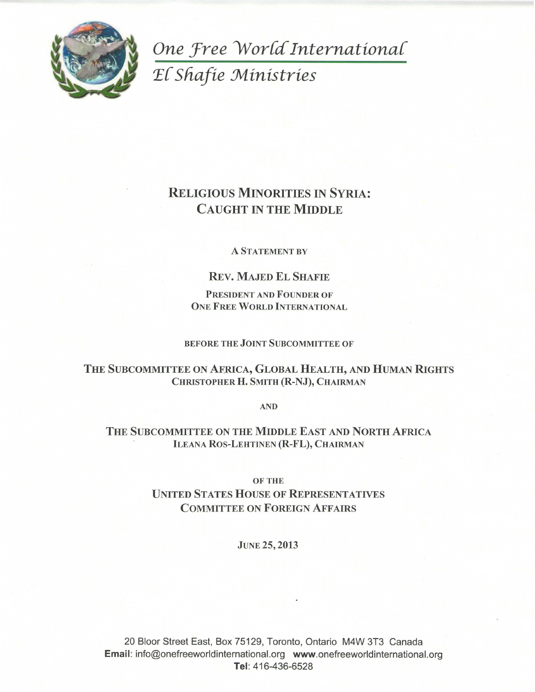

One Free World International El Shafie Ministries

# **RELIGIOUS MINORITIES IN SYRIA: CAUGHT IN THE MIDDLE**

#### **A STATEMENT BY**

# **REV. MAJED EL SHAFIE**

PRESIDENT AND FOUNDER OF **ONE FREE WORLD INTERNATIONAL** 

#### **BEFORE THE JOINT SUBCOMMITTEE OF**

THE SUBCOMMITTEE ON AFRICA, GLOBAL HEALTH, AND HUMAN RIGHTS CHRISTOPHER H. SMITH (R-NJ), CHAIRMAN

**AND** 

# THE SUBCOMMITTEE ON THE MIDDLE EAST AND NORTH AFRICA **ILEANA ROS-LEHTINEN (R-FL), CHAIRMAN**

**OF THE** 

# **UNITED STATES HOUSE OF REPRESENTATIVES COMMITTEE ON FOREIGN AFFAIRS**

#### **JUNE 25, 2013**

20 Bloor Street East, Box 75129, Toronto, Ontario M4W 3T3 Canada Email: info@onefreeworldinternational.org www.onefreeworldinternational.org Tel: 416-436-6528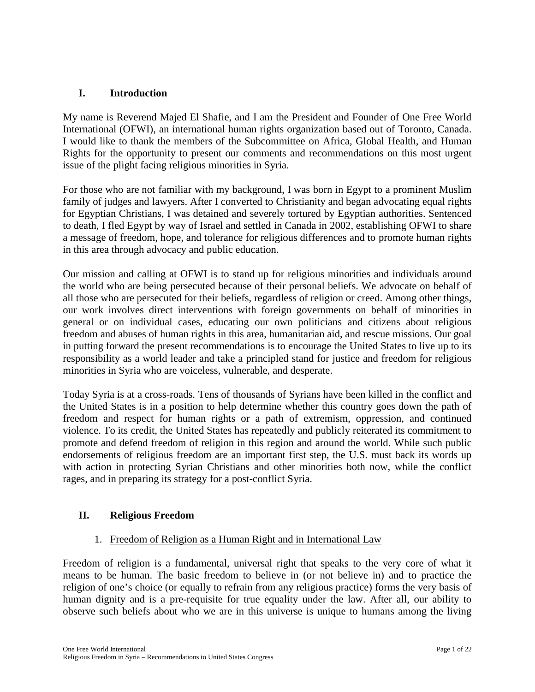# **I. Introduction**

My name is Reverend Majed El Shafie, and I am the President and Founder of One Free World International (OFWI), an international human rights organization based out of Toronto, Canada. I would like to thank the members of the Subcommittee on Africa, Global Health, and Human Rights for the opportunity to present our comments and recommendations on this most urgent issue of the plight facing religious minorities in Syria.

For those who are not familiar with my background, I was born in Egypt to a prominent Muslim family of judges and lawyers. After I converted to Christianity and began advocating equal rights for Egyptian Christians, I was detained and severely tortured by Egyptian authorities. Sentenced to death, I fled Egypt by way of Israel and settled in Canada in 2002, establishing OFWI to share a message of freedom, hope, and tolerance for religious differences and to promote human rights in this area through advocacy and public education.

Our mission and calling at OFWI is to stand up for religious minorities and individuals around the world who are being persecuted because of their personal beliefs. We advocate on behalf of all those who are persecuted for their beliefs, regardless of religion or creed. Among other things, our work involves direct interventions with foreign governments on behalf of minorities in general or on individual cases, educating our own politicians and citizens about religious freedom and abuses of human rights in this area, humanitarian aid, and rescue missions. Our goal in putting forward the present recommendations is to encourage the United States to live up to its responsibility as a world leader and take a principled stand for justice and freedom for religious minorities in Syria who are voiceless, vulnerable, and desperate.

Today Syria is at a cross-roads. Tens of thousands of Syrians have been killed in the conflict and the United States is in a position to help determine whether this country goes down the path of freedom and respect for human rights or a path of extremism, oppression, and continued violence. To its credit, the United States has repeatedly and publicly reiterated its commitment to promote and defend freedom of religion in this region and around the world. While such public endorsements of religious freedom are an important first step, the U.S. must back its words up with action in protecting Syrian Christians and other minorities both now, while the conflict rages, and in preparing its strategy for a post-conflict Syria.

# **II. Religious Freedom**

## 1. Freedom of Religion as a Human Right and in International Law

Freedom of religion is a fundamental, universal right that speaks to the very core of what it means to be human. The basic freedom to believe in (or not believe in) and to practice the religion of one's choice (or equally to refrain from any religious practice) forms the very basis of human dignity and is a pre-requisite for true equality under the law. After all, our ability to observe such beliefs about who we are in this universe is unique to humans among the living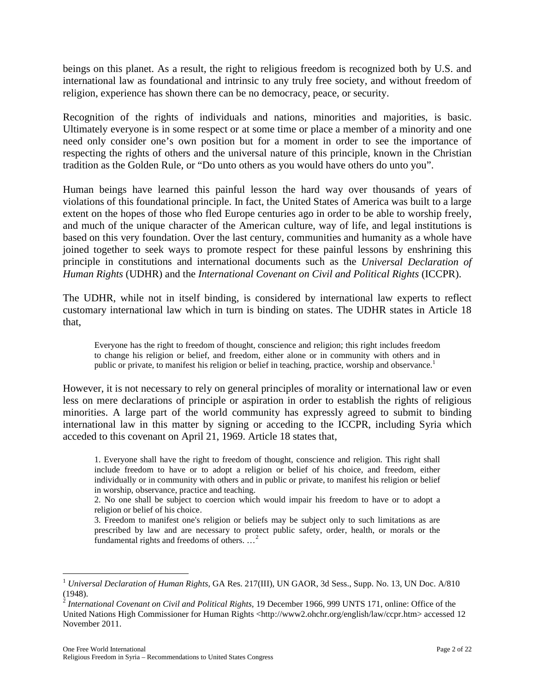beings on this planet. As a result, the right to religious freedom is recognized both by U.S. and international law as foundational and intrinsic to any truly free society, and without freedom of religion, experience has shown there can be no democracy, peace, or security.

Recognition of the rights of individuals and nations, minorities and majorities, is basic. Ultimately everyone is in some respect or at some time or place a member of a minority and one need only consider one's own position but for a moment in order to see the importance of respecting the rights of others and the universal nature of this principle, known in the Christian tradition as the Golden Rule, or "Do unto others as you would have others do unto you".

Human beings have learned this painful lesson the hard way over thousands of years of violations of this foundational principle. In fact, the United States of America was built to a large extent on the hopes of those who fled Europe centuries ago in order to be able to worship freely, and much of the unique character of the American culture, way of life, and legal institutions is based on this very foundation. Over the last century, communities and humanity as a whole have joined together to seek ways to promote respect for these painful lessons by enshrining this principle in constitutions and international documents such as the *Universal Declaration of Human Rights* (UDHR) and the *International Covenant on Civil and Political Rights* (ICCPR).

The UDHR, while not in itself binding, is considered by international law experts to reflect customary international law which in turn is binding on states. The UDHR states in Article 18 that,

Everyone has the right to freedom of thought, conscience and religion; this right includes freedom to change his religion or belief, and freedom, either alone or in community with others and in public or private, to manifest his religion or belief in teaching, practice, worship and observance.<sup>1</sup>

However, it is not necessary to rely on general principles of morality or international law or even less on mere declarations of principle or aspiration in order to establish the rights of religious minorities. A large part of the world community has expressly agreed to submit to binding international law in this matter by signing or acceding to the ICCPR, including Syria which acceded to this covenant on April 21, 1969. Article 18 states that,

1. Everyone shall have the right to freedom of thought, conscience and religion. This right shall include freedom to have or to adopt a religion or belief of his choice, and freedom, either individually or in community with others and in public or private, to manifest his religion or belief in worship, observance, practice and teaching.

2. No one shall be subject to coercion which would impair his freedom to have or to adopt a religion or belief of his choice.

3. Freedom to manifest one's religion or beliefs may be subject only to such limitations as are prescribed by law and are necessary to protect public safety, order, health, or morals or the fundamental rights and freedoms of others. …<sup>2</sup>

 $\overline{a}$ <sup>1</sup> *Universal Declaration of Human Rights, GA Res.* 217(III), UN GAOR, 3d Sess., Supp. No. 13, UN Doc. A/810 (1948).

<sup>&</sup>lt;sup>2</sup> International Covenant on Civil and Political Rights, 19 December 1966, 999 UNTS 171, online: Office of the United Nations High Commissioner for Human Rights <http://www2.ohchr.org/english/law/ccpr.htm> accessed 12 November 2011.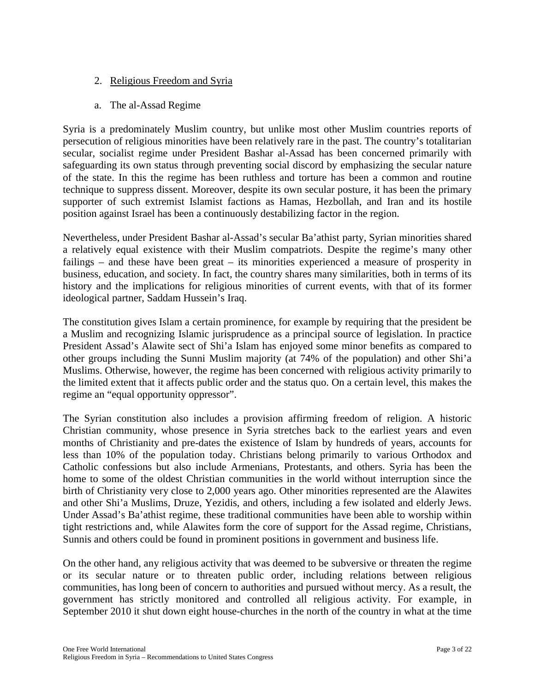- 2. Religious Freedom and Syria
- a. The al-Assad Regime

Syria is a predominately Muslim country, but unlike most other Muslim countries reports of persecution of religious minorities have been relatively rare in the past. The country's totalitarian secular, socialist regime under President Bashar al-Assad has been concerned primarily with safeguarding its own status through preventing social discord by emphasizing the secular nature of the state. In this the regime has been ruthless and torture has been a common and routine technique to suppress dissent. Moreover, despite its own secular posture, it has been the primary supporter of such extremist Islamist factions as Hamas, Hezbollah, and Iran and its hostile position against Israel has been a continuously destabilizing factor in the region.

Nevertheless, under President Bashar al-Assad's secular Ba'athist party, Syrian minorities shared a relatively equal existence with their Muslim compatriots. Despite the regime's many other failings – and these have been great – its minorities experienced a measure of prosperity in business, education, and society. In fact, the country shares many similarities, both in terms of its history and the implications for religious minorities of current events, with that of its former ideological partner, Saddam Hussein's Iraq.

The constitution gives Islam a certain prominence, for example by requiring that the president be a Muslim and recognizing Islamic jurisprudence as a principal source of legislation. In practice President Assad's Alawite sect of Shi'a Islam has enjoyed some minor benefits as compared to other groups including the Sunni Muslim majority (at 74% of the population) and other Shi'a Muslims. Otherwise, however, the regime has been concerned with religious activity primarily to the limited extent that it affects public order and the status quo. On a certain level, this makes the regime an "equal opportunity oppressor".

The Syrian constitution also includes a provision affirming freedom of religion. A historic Christian community, whose presence in Syria stretches back to the earliest years and even months of Christianity and pre-dates the existence of Islam by hundreds of years, accounts for less than 10% of the population today. Christians belong primarily to various Orthodox and Catholic confessions but also include Armenians, Protestants, and others. Syria has been the home to some of the oldest Christian communities in the world without interruption since the birth of Christianity very close to 2,000 years ago. Other minorities represented are the Alawites and other Shi'a Muslims, Druze, Yezidis, and others, including a few isolated and elderly Jews. Under Assad's Ba'athist regime, these traditional communities have been able to worship within tight restrictions and, while Alawites form the core of support for the Assad regime, Christians, Sunnis and others could be found in prominent positions in government and business life.

On the other hand, any religious activity that was deemed to be subversive or threaten the regime or its secular nature or to threaten public order, including relations between religious communities, has long been of concern to authorities and pursued without mercy. As a result, the government has strictly monitored and controlled all religious activity. For example, in September 2010 it shut down eight house-churches in the north of the country in what at the time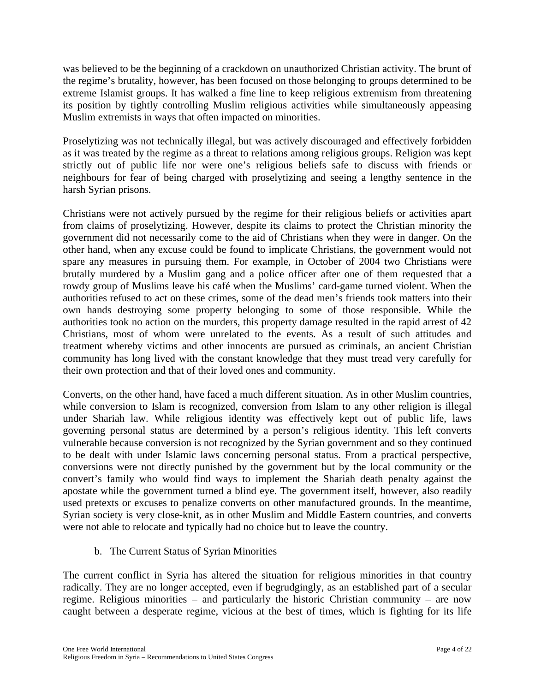was believed to be the beginning of a crackdown on unauthorized Christian activity. The brunt of the regime's brutality, however, has been focused on those belonging to groups determined to be extreme Islamist groups. It has walked a fine line to keep religious extremism from threatening its position by tightly controlling Muslim religious activities while simultaneously appeasing Muslim extremists in ways that often impacted on minorities.

Proselytizing was not technically illegal, but was actively discouraged and effectively forbidden as it was treated by the regime as a threat to relations among religious groups. Religion was kept strictly out of public life nor were one's religious beliefs safe to discuss with friends or neighbours for fear of being charged with proselytizing and seeing a lengthy sentence in the harsh Syrian prisons.

Christians were not actively pursued by the regime for their religious beliefs or activities apart from claims of proselytizing. However, despite its claims to protect the Christian minority the government did not necessarily come to the aid of Christians when they were in danger. On the other hand, when any excuse could be found to implicate Christians, the government would not spare any measures in pursuing them. For example, in October of 2004 two Christians were brutally murdered by a Muslim gang and a police officer after one of them requested that a rowdy group of Muslims leave his café when the Muslims' card-game turned violent. When the authorities refused to act on these crimes, some of the dead men's friends took matters into their own hands destroying some property belonging to some of those responsible. While the authorities took no action on the murders, this property damage resulted in the rapid arrest of 42 Christians, most of whom were unrelated to the events. As a result of such attitudes and treatment whereby victims and other innocents are pursued as criminals, an ancient Christian community has long lived with the constant knowledge that they must tread very carefully for their own protection and that of their loved ones and community.

Converts, on the other hand, have faced a much different situation. As in other Muslim countries, while conversion to Islam is recognized, conversion from Islam to any other religion is illegal under Shariah law. While religious identity was effectively kept out of public life, laws governing personal status are determined by a person's religious identity. This left converts vulnerable because conversion is not recognized by the Syrian government and so they continued to be dealt with under Islamic laws concerning personal status. From a practical perspective, conversions were not directly punished by the government but by the local community or the convert's family who would find ways to implement the Shariah death penalty against the apostate while the government turned a blind eye. The government itself, however, also readily used pretexts or excuses to penalize converts on other manufactured grounds. In the meantime, Syrian society is very close-knit, as in other Muslim and Middle Eastern countries, and converts were not able to relocate and typically had no choice but to leave the country.

b. The Current Status of Syrian Minorities

The current conflict in Syria has altered the situation for religious minorities in that country radically. They are no longer accepted, even if begrudgingly, as an established part of a secular regime. Religious minorities – and particularly the historic Christian community – are now caught between a desperate regime, vicious at the best of times, which is fighting for its life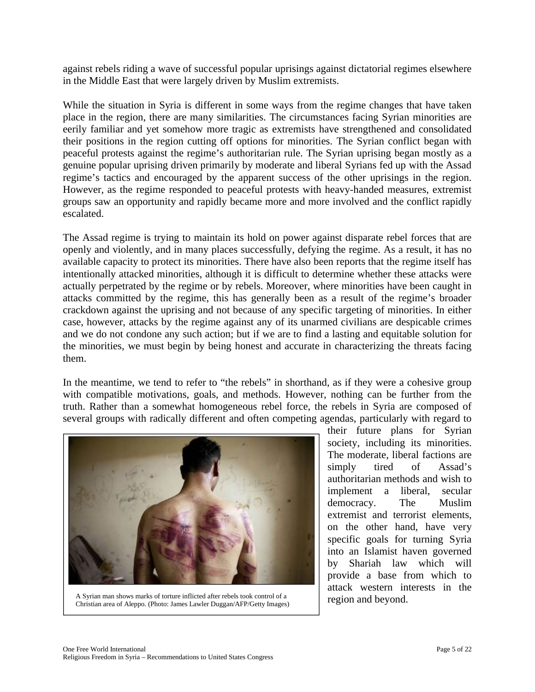against rebels riding a wave of successful popular uprisings against dictatorial regimes elsewhere in the Middle East that were largely driven by Muslim extremists.

While the situation in Syria is different in some ways from the regime changes that have taken place in the region, there are many similarities. The circumstances facing Syrian minorities are eerily familiar and yet somehow more tragic as extremists have strengthened and consolidated their positions in the region cutting off options for minorities. The Syrian conflict began with peaceful protests against the regime's authoritarian rule. The Syrian uprising began mostly as a genuine popular uprising driven primarily by moderate and liberal Syrians fed up with the Assad regime's tactics and encouraged by the apparent success of the other uprisings in the region. However, as the regime responded to peaceful protests with heavy-handed measures, extremist groups saw an opportunity and rapidly became more and more involved and the conflict rapidly escalated.

The Assad regime is trying to maintain its hold on power against disparate rebel forces that are openly and violently, and in many places successfully, defying the regime. As a result, it has no available capacity to protect its minorities. There have also been reports that the regime itself has intentionally attacked minorities, although it is difficult to determine whether these attacks were actually perpetrated by the regime or by rebels. Moreover, where minorities have been caught in attacks committed by the regime, this has generally been as a result of the regime's broader crackdown against the uprising and not because of any specific targeting of minorities. In either case, however, attacks by the regime against any of its unarmed civilians are despicable crimes and we do not condone any such action; but if we are to find a lasting and equitable solution for the minorities, we must begin by being honest and accurate in characterizing the threats facing them.

In the meantime, we tend to refer to "the rebels" in shorthand, as if they were a cohesive group with compatible motivations, goals, and methods. However, nothing can be further from the truth. Rather than a somewhat homogeneous rebel force, the rebels in Syria are composed of several groups with radically different and often competing agendas, particularly with regard to



A Syrian man shows marks of torture inflicted after rebels took control of a<br>Christian area of Alama (Photo: Ismae Laular Dugger) (AED/Cotty Images) region and beyond. Christian area of Aleppo. (Photo: James Lawler Duggan/AFP/Getty Images)

their future plans for Syrian society, including its minorities. The moderate, liberal factions are simply tired of Assad's authoritarian methods and wish to implement a liberal, secular democracy. The Muslim extremist and terrorist elements, on the other hand, have very specific goals for turning Syria into an Islamist haven governed by Shariah law which will provide a base from which to attack western interests in the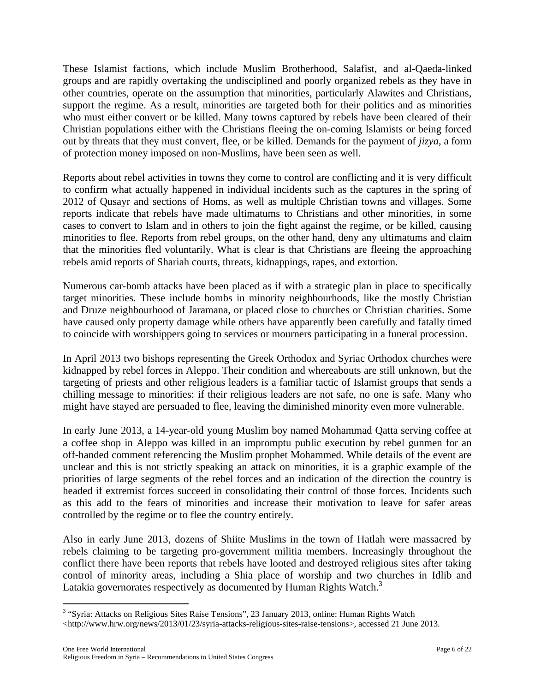These Islamist factions, which include Muslim Brotherhood, Salafist, and al-Qaeda-linked groups and are rapidly overtaking the undisciplined and poorly organized rebels as they have in other countries, operate on the assumption that minorities, particularly Alawites and Christians, support the regime. As a result, minorities are targeted both for their politics and as minorities who must either convert or be killed. Many towns captured by rebels have been cleared of their Christian populations either with the Christians fleeing the on-coming Islamists or being forced out by threats that they must convert, flee, or be killed. Demands for the payment of *jizya*, a form of protection money imposed on non-Muslims, have been seen as well.

Reports about rebel activities in towns they come to control are conflicting and it is very difficult to confirm what actually happened in individual incidents such as the captures in the spring of 2012 of Qusayr and sections of Homs, as well as multiple Christian towns and villages. Some reports indicate that rebels have made ultimatums to Christians and other minorities, in some cases to convert to Islam and in others to join the fight against the regime, or be killed, causing minorities to flee. Reports from rebel groups, on the other hand, deny any ultimatums and claim that the minorities fled voluntarily. What is clear is that Christians are fleeing the approaching rebels amid reports of Shariah courts, threats, kidnappings, rapes, and extortion.

Numerous car-bomb attacks have been placed as if with a strategic plan in place to specifically target minorities. These include bombs in minority neighbourhoods, like the mostly Christian and Druze neighbourhood of Jaramana, or placed close to churches or Christian charities. Some have caused only property damage while others have apparently been carefully and fatally timed to coincide with worshippers going to services or mourners participating in a funeral procession.

In April 2013 two bishops representing the Greek Orthodox and Syriac Orthodox churches were kidnapped by rebel forces in Aleppo. Their condition and whereabouts are still unknown, but the targeting of priests and other religious leaders is a familiar tactic of Islamist groups that sends a chilling message to minorities: if their religious leaders are not safe, no one is safe. Many who might have stayed are persuaded to flee, leaving the diminished minority even more vulnerable.

In early June 2013, a 14-year-old young Muslim boy named Mohammad Qatta serving coffee at a coffee shop in Aleppo was killed in an impromptu public execution by rebel gunmen for an off-handed comment referencing the Muslim prophet Mohammed. While details of the event are unclear and this is not strictly speaking an attack on minorities, it is a graphic example of the priorities of large segments of the rebel forces and an indication of the direction the country is headed if extremist forces succeed in consolidating their control of those forces. Incidents such as this add to the fears of minorities and increase their motivation to leave for safer areas controlled by the regime or to flee the country entirely.

Also in early June 2013, dozens of Shiite Muslims in the town of Hatlah were massacred by rebels claiming to be targeting pro-government militia members. Increasingly throughout the conflict there have been reports that rebels have looted and destroyed religious sites after taking control of minority areas, including a Shia place of worship and two churches in Idlib and Latakia governorates respectively as documented by Human Rights Watch.<sup>3</sup>

 $\overline{a}$ 

<sup>&</sup>lt;sup>3</sup> "Syria: Attacks on Religious Sites Raise Tensions", 23 January 2013, online: Human Rights Watch  $\langle$ http://www.hrw.org/news/2013/01/23/syria-attacks-religious-sites-raise-tensions>, accessed 21 June 2013.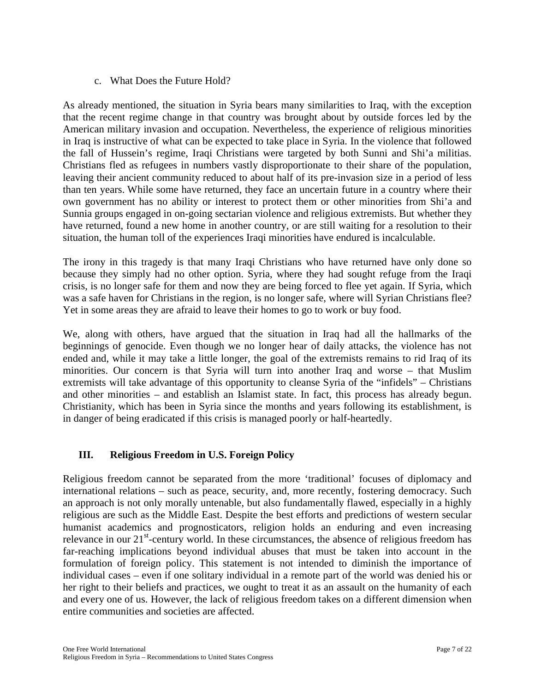# c. What Does the Future Hold?

As already mentioned, the situation in Syria bears many similarities to Iraq, with the exception that the recent regime change in that country was brought about by outside forces led by the American military invasion and occupation. Nevertheless, the experience of religious minorities in Iraq is instructive of what can be expected to take place in Syria. In the violence that followed the fall of Hussein's regime, Iraqi Christians were targeted by both Sunni and Shi'a militias. Christians fled as refugees in numbers vastly disproportionate to their share of the population, leaving their ancient community reduced to about half of its pre-invasion size in a period of less than ten years. While some have returned, they face an uncertain future in a country where their own government has no ability or interest to protect them or other minorities from Shi'a and Sunnia groups engaged in on-going sectarian violence and religious extremists. But whether they have returned, found a new home in another country, or are still waiting for a resolution to their situation, the human toll of the experiences Iraqi minorities have endured is incalculable.

The irony in this tragedy is that many Iraqi Christians who have returned have only done so because they simply had no other option. Syria, where they had sought refuge from the Iraqi crisis, is no longer safe for them and now they are being forced to flee yet again. If Syria, which was a safe haven for Christians in the region, is no longer safe, where will Syrian Christians flee? Yet in some areas they are afraid to leave their homes to go to work or buy food.

We, along with others, have argued that the situation in Iraq had all the hallmarks of the beginnings of genocide. Even though we no longer hear of daily attacks, the violence has not ended and, while it may take a little longer, the goal of the extremists remains to rid Iraq of its minorities. Our concern is that Syria will turn into another Iraq and worse – that Muslim extremists will take advantage of this opportunity to cleanse Syria of the "infidels" – Christians and other minorities – and establish an Islamist state. In fact, this process has already begun. Christianity, which has been in Syria since the months and years following its establishment, is in danger of being eradicated if this crisis is managed poorly or half-heartedly.

# **III. Religious Freedom in U.S. Foreign Policy**

Religious freedom cannot be separated from the more 'traditional' focuses of diplomacy and international relations – such as peace, security, and, more recently, fostering democracy. Such an approach is not only morally untenable, but also fundamentally flawed, especially in a highly religious are such as the Middle East. Despite the best efforts and predictions of western secular humanist academics and prognosticators, religion holds an enduring and even increasing relevance in our  $21<sup>st</sup>$ -century world. In these circumstances, the absence of religious freedom has far-reaching implications beyond individual abuses that must be taken into account in the formulation of foreign policy. This statement is not intended to diminish the importance of individual cases – even if one solitary individual in a remote part of the world was denied his or her right to their beliefs and practices, we ought to treat it as an assault on the humanity of each and every one of us. However, the lack of religious freedom takes on a different dimension when entire communities and societies are affected.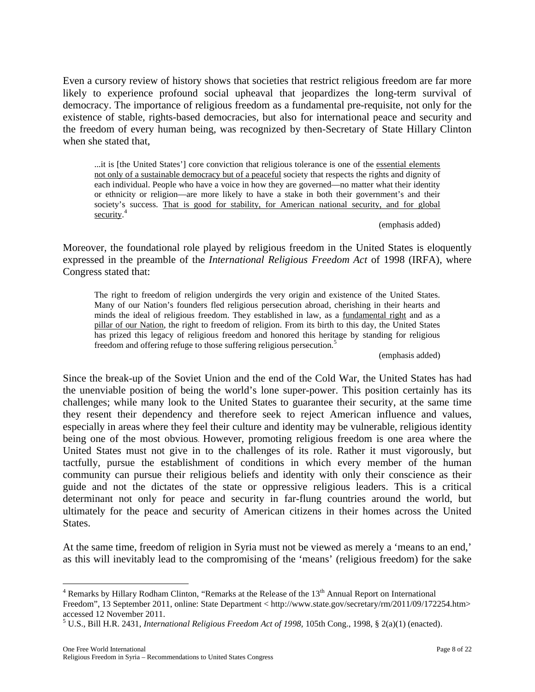Even a cursory review of history shows that societies that restrict religious freedom are far more likely to experience profound social upheaval that jeopardizes the long-term survival of democracy. The importance of religious freedom as a fundamental pre-requisite, not only for the existence of stable, rights-based democracies, but also for international peace and security and the freedom of every human being, was recognized by then-Secretary of State Hillary Clinton when she stated that,

...it is [the United States'] core conviction that religious tolerance is one of the essential elements not only of a sustainable democracy but of a peaceful society that respects the rights and dignity of each individual. People who have a voice in how they are governed—no matter what their identity or ethnicity or religion—are more likely to have a stake in both their government's and their society's success. That is good for stability, for American national security, and for global security.<sup>4</sup>

(emphasis added)

Moreover, the foundational role played by religious freedom in the United States is eloquently expressed in the preamble of the *International Religious Freedom Act* of 1998 (IRFA), where Congress stated that:

The right to freedom of religion undergirds the very origin and existence of the United States. Many of our Nation's founders fled religious persecution abroad, cherishing in their hearts and minds the ideal of religious freedom. They established in law, as a fundamental right and as a pillar of our Nation, the right to freedom of religion. From its birth to this day, the United States has prized this legacy of religious freedom and honored this heritage by standing for religious freedom and offering refuge to those suffering religious persecution.<sup>5</sup>

(emphasis added)

Since the break-up of the Soviet Union and the end of the Cold War, the United States has had the unenviable position of being the world's lone super-power. This position certainly has its challenges; while many look to the United States to guarantee their security, at the same time they resent their dependency and therefore seek to reject American influence and values, especially in areas where they feel their culture and identity may be vulnerable, religious identity being one of the most obvious. However, promoting religious freedom is one area where the United States must not give in to the challenges of its role. Rather it must vigorously, but tactfully, pursue the establishment of conditions in which every member of the human community can pursue their religious beliefs and identity with only their conscience as their guide and not the dictates of the state or oppressive religious leaders. This is a critical determinant not only for peace and security in far-flung countries around the world, but ultimately for the peace and security of American citizens in their homes across the United States.

At the same time, freedom of religion in Syria must not be viewed as merely a 'means to an end,' as this will inevitably lead to the compromising of the 'means' (religious freedom) for the sake

 $\overline{a}$ 

 $4$  Remarks by Hillary Rodham Clinton, "Remarks at the Release of the  $13<sup>th</sup>$  Annual Report on International

Freedom", 13 September 2011, online: State Department < http://www.state.gov/secretary/rm/2011/09/172254.htm> accessed 12 November 2011.

<sup>5</sup> U.S., Bill H.R. 2431, *International Religious Freedom Act of 1998,* 105th Cong., 1998, § 2(a)(1) (enacted).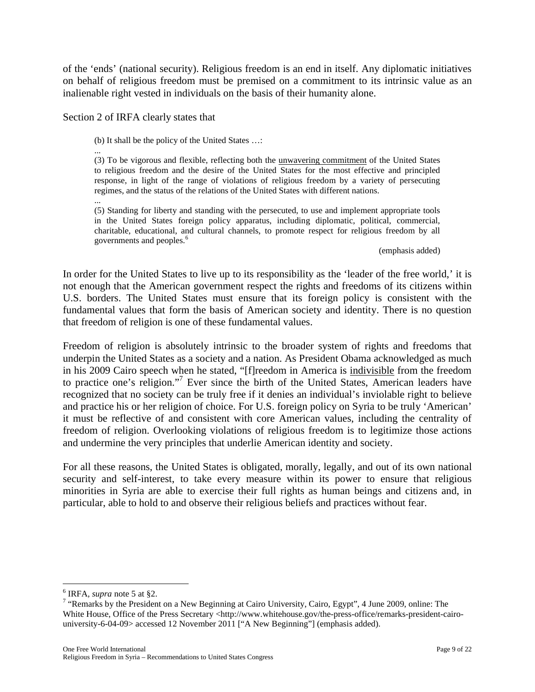of the 'ends' (national security). Religious freedom is an end in itself. Any diplomatic initiatives on behalf of religious freedom must be premised on a commitment to its intrinsic value as an inalienable right vested in individuals on the basis of their humanity alone.

Section 2 of IRFA clearly states that

(b) It shall be the policy of the United States …:

... (3) To be vigorous and flexible, reflecting both the unwavering commitment of the United States to religious freedom and the desire of the United States for the most effective and principled response, in light of the range of violations of religious freedom by a variety of persecuting regimes, and the status of the relations of the United States with different nations.

... (5) Standing for liberty and standing with the persecuted, to use and implement appropriate tools in the United States foreign policy apparatus, including diplomatic, political, commercial, charitable, educational, and cultural channels, to promote respect for religious freedom by all governments and peoples.<sup>6</sup>

(emphasis added)

In order for the United States to live up to its responsibility as the 'leader of the free world,' it is not enough that the American government respect the rights and freedoms of its citizens within U.S. borders. The United States must ensure that its foreign policy is consistent with the fundamental values that form the basis of American society and identity. There is no question that freedom of religion is one of these fundamental values.

Freedom of religion is absolutely intrinsic to the broader system of rights and freedoms that underpin the United States as a society and a nation. As President Obama acknowledged as much in his 2009 Cairo speech when he stated, "[f]reedom in America is indivisible from the freedom to practice one's religion."7 Ever since the birth of the United States, American leaders have recognized that no society can be truly free if it denies an individual's inviolable right to believe and practice his or her religion of choice. For U.S. foreign policy on Syria to be truly 'American' it must be reflective of and consistent with core American values, including the centrality of freedom of religion. Overlooking violations of religious freedom is to legitimize those actions and undermine the very principles that underlie American identity and society.

For all these reasons, the United States is obligated, morally, legally, and out of its own national security and self-interest, to take every measure within its power to ensure that religious minorities in Syria are able to exercise their full rights as human beings and citizens and, in particular, able to hold to and observe their religious beliefs and practices without fear.

1

<sup>&</sup>lt;sup>6</sup> IRFA, *supra* note 5 at §2.<br><sup>7</sup> "Remarks by the President on a New Beginning at Cairo University, Cairo, Egypt", 4 June 2009, online: The White House, Office of the Press Secretary <http://www.whitehouse.gov/the-press-office/remarks-president-cairouniversity-6-04-09> accessed 12 November 2011 ["A New Beginning"] (emphasis added).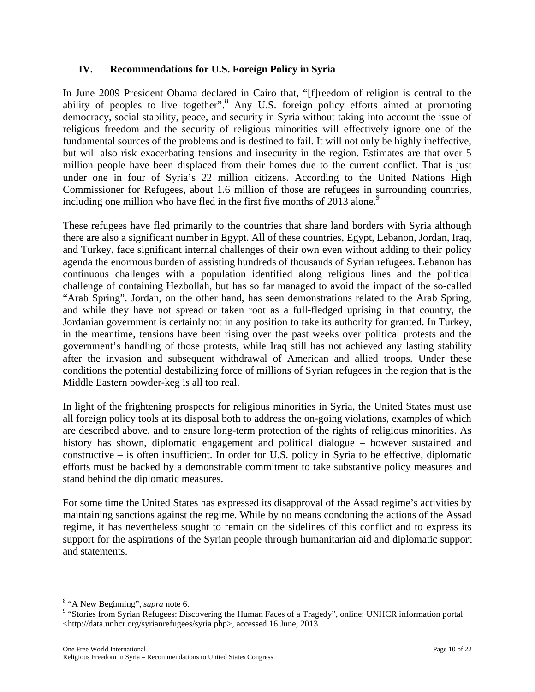# **IV. Recommendations for U.S. Foreign Policy in Syria**

In June 2009 President Obama declared in Cairo that, "[f]reedom of religion is central to the ability of peoples to live together".<sup>8</sup> Any U.S. foreign policy efforts aimed at promoting democracy, social stability, peace, and security in Syria without taking into account the issue of religious freedom and the security of religious minorities will effectively ignore one of the fundamental sources of the problems and is destined to fail. It will not only be highly ineffective, but will also risk exacerbating tensions and insecurity in the region. Estimates are that over 5 million people have been displaced from their homes due to the current conflict. That is just under one in four of Syria's 22 million citizens. According to the United Nations High Commissioner for Refugees, about 1.6 million of those are refugees in surrounding countries, including one million who have fled in the first five months of 2013 alone.<sup>9</sup>

These refugees have fled primarily to the countries that share land borders with Syria although there are also a significant number in Egypt. All of these countries, Egypt, Lebanon, Jordan, Iraq, and Turkey, face significant internal challenges of their own even without adding to their policy agenda the enormous burden of assisting hundreds of thousands of Syrian refugees. Lebanon has continuous challenges with a population identified along religious lines and the political challenge of containing Hezbollah, but has so far managed to avoid the impact of the so-called "Arab Spring". Jordan, on the other hand, has seen demonstrations related to the Arab Spring, and while they have not spread or taken root as a full-fledged uprising in that country, the Jordanian government is certainly not in any position to take its authority for granted. In Turkey, in the meantime, tensions have been rising over the past weeks over political protests and the government's handling of those protests, while Iraq still has not achieved any lasting stability after the invasion and subsequent withdrawal of American and allied troops. Under these conditions the potential destabilizing force of millions of Syrian refugees in the region that is the Middle Eastern powder-keg is all too real.

In light of the frightening prospects for religious minorities in Syria, the United States must use all foreign policy tools at its disposal both to address the on-going violations, examples of which are described above, and to ensure long-term protection of the rights of religious minorities. As history has shown, diplomatic engagement and political dialogue – however sustained and constructive – is often insufficient. In order for U.S. policy in Syria to be effective, diplomatic efforts must be backed by a demonstrable commitment to take substantive policy measures and stand behind the diplomatic measures.

For some time the United States has expressed its disapproval of the Assad regime's activities by maintaining sanctions against the regime. While by no means condoning the actions of the Assad regime, it has nevertheless sought to remain on the sidelines of this conflict and to express its support for the aspirations of the Syrian people through humanitarian aid and diplomatic support and statements.

 $\overline{a}$ 

<sup>&</sup>lt;sup>8</sup> "A New Beginning", *supra* note 6.<br><sup>9</sup> "Stories from Syrian Refugees: Discovering the Human Faces of a Tragedy", online: UNHCR information portal <http://data.unhcr.org/syrianrefugees/syria.php>, accessed 16 June, 2013.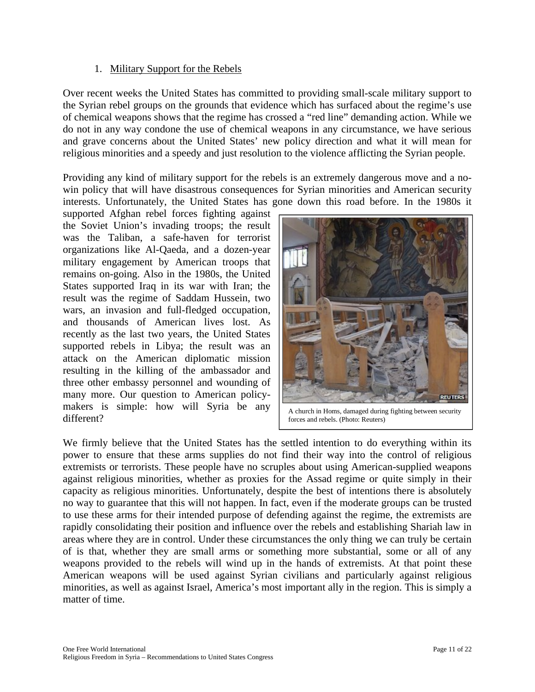#### 1. Military Support for the Rebels

Over recent weeks the United States has committed to providing small-scale military support to the Syrian rebel groups on the grounds that evidence which has surfaced about the regime's use of chemical weapons shows that the regime has crossed a "red line" demanding action. While we do not in any way condone the use of chemical weapons in any circumstance, we have serious and grave concerns about the United States' new policy direction and what it will mean for religious minorities and a speedy and just resolution to the violence afflicting the Syrian people.

Providing any kind of military support for the rebels is an extremely dangerous move and a nowin policy that will have disastrous consequences for Syrian minorities and American security interests. Unfortunately, the United States has gone down this road before. In the 1980s it

supported Afghan rebel forces fighting against the Soviet Union's invading troops; the result was the Taliban, a safe-haven for terrorist organizations like Al-Qaeda, and a dozen-year military engagement by American troops that remains on-going. Also in the 1980s, the United States supported Iraq in its war with Iran; the result was the regime of Saddam Hussein, two wars, an invasion and full-fledged occupation, and thousands of American lives lost. As recently as the last two years, the United States supported rebels in Libya; the result was an attack on the American diplomatic mission resulting in the killing of the ambassador and three other embassy personnel and wounding of many more. Our question to American policymakers is simple: how will Syria be any different?



A church in Homs, damaged during fighting between security forces and rebels. (Photo: Reuters)

We firmly believe that the United States has the settled intention to do everything within its power to ensure that these arms supplies do not find their way into the control of religious extremists or terrorists. These people have no scruples about using American-supplied weapons against religious minorities, whether as proxies for the Assad regime or quite simply in their capacity as religious minorities. Unfortunately, despite the best of intentions there is absolutely no way to guarantee that this will not happen. In fact, even if the moderate groups can be trusted to use these arms for their intended purpose of defending against the regime, the extremists are rapidly consolidating their position and influence over the rebels and establishing Shariah law in areas where they are in control. Under these circumstances the only thing we can truly be certain of is that, whether they are small arms or something more substantial, some or all of any weapons provided to the rebels will wind up in the hands of extremists. At that point these American weapons will be used against Syrian civilians and particularly against religious minorities, as well as against Israel, America's most important ally in the region. This is simply a matter of time.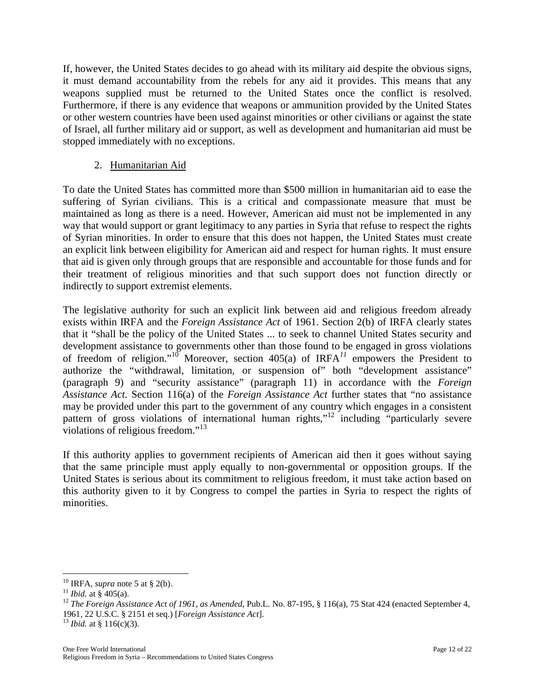If, however, the United States decides to go ahead with its military aid despite the obvious signs, it must demand accountability from the rebels for any aid it provides. This means that any weapons supplied must be returned to the United States once the conflict is resolved. Furthermore, if there is any evidence that weapons or ammunition provided by the United States or other western countries have been used against minorities or other civilians or against the state of Israel, all further military aid or support, as well as development and humanitarian aid must be stopped immediately with no exceptions.

# 2. Humanitarian Aid

To date the United States has committed more than \$500 million in humanitarian aid to ease the suffering of Syrian civilians. This is a critical and compassionate measure that must be maintained as long as there is a need. However, American aid must not be implemented in any way that would support or grant legitimacy to any parties in Syria that refuse to respect the rights of Syrian minorities. In order to ensure that this does not happen, the United States must create an explicit link between eligibility for American aid and respect for human rights. It must ensure that aid is given only through groups that are responsible and accountable for those funds and for their treatment of religious minorities and that such support does not function directly or indirectly to support extremist elements.

The legislative authority for such an explicit link between aid and religious freedom already exists within IRFA and the *Foreign Assistance Act* of 1961. Section 2(b) of IRFA clearly states that it "shall be the policy of the United States ... to seek to channel United States security and development assistance to governments other than those found to be engaged in gross violations of freedom of religion."<sup>10</sup> Moreover, section 405(a) of IRFA<sup>11</sup> empowers the President to authorize the "withdrawal, limitation, or suspension of" both "development assistance" (paragraph 9) and "security assistance" (paragraph 11) in accordance with the *Foreign Assistance Act.* Section 116(a) of the *Foreign Assistance Act* further states that "no assistance may be provided under this part to the government of any country which engages in a consistent pattern of gross violations of international human rights,"<sup>12</sup> including "particularly severe violations of religious freedom."<sup>13</sup>

If this authority applies to government recipients of American aid then it goes without saying that the same principle must apply equally to non-governmental or opposition groups. If the United States is serious about its commitment to religious freedom, it must take action based on this authority given to it by Congress to compel the parties in Syria to respect the rights of minorities.

 $\overline{a}$ 

<sup>&</sup>lt;sup>10</sup> IRFA, *supra* note 5 at § 2(b).<br><sup>11</sup> *Ibid.* at § 405(a).<br><sup>12</sup> *The Foreign Assistance Act of 1961, as Amended, Pub.L. No. 87-195, § 116(a), 75 Stat 424 (enacted September 4,* 1961, 22 U.S.C. § 2151 et seq.) [*Foreign Assistance Act*]. <sup>13</sup> *Ibid.* at § 116(c)(3).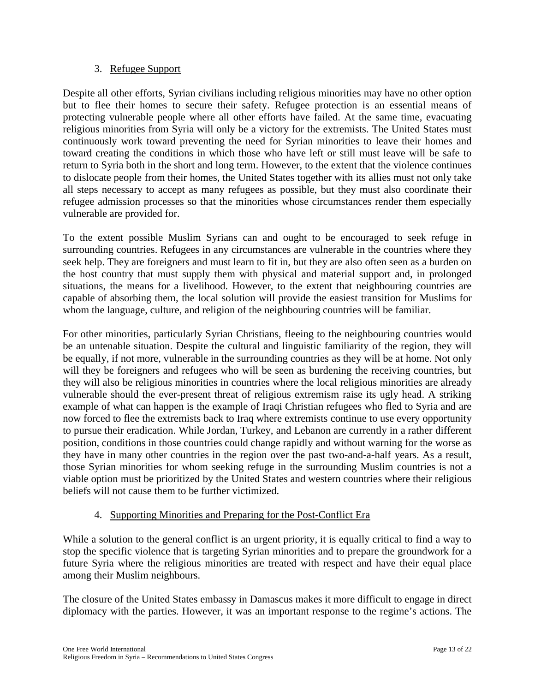## 3. Refugee Support

Despite all other efforts, Syrian civilians including religious minorities may have no other option but to flee their homes to secure their safety. Refugee protection is an essential means of protecting vulnerable people where all other efforts have failed. At the same time, evacuating religious minorities from Syria will only be a victory for the extremists. The United States must continuously work toward preventing the need for Syrian minorities to leave their homes and toward creating the conditions in which those who have left or still must leave will be safe to return to Syria both in the short and long term. However, to the extent that the violence continues to dislocate people from their homes, the United States together with its allies must not only take all steps necessary to accept as many refugees as possible, but they must also coordinate their refugee admission processes so that the minorities whose circumstances render them especially vulnerable are provided for.

To the extent possible Muslim Syrians can and ought to be encouraged to seek refuge in surrounding countries. Refugees in any circumstances are vulnerable in the countries where they seek help. They are foreigners and must learn to fit in, but they are also often seen as a burden on the host country that must supply them with physical and material support and, in prolonged situations, the means for a livelihood. However, to the extent that neighbouring countries are capable of absorbing them, the local solution will provide the easiest transition for Muslims for whom the language, culture, and religion of the neighbouring countries will be familiar.

For other minorities, particularly Syrian Christians, fleeing to the neighbouring countries would be an untenable situation. Despite the cultural and linguistic familiarity of the region, they will be equally, if not more, vulnerable in the surrounding countries as they will be at home. Not only will they be foreigners and refugees who will be seen as burdening the receiving countries, but they will also be religious minorities in countries where the local religious minorities are already vulnerable should the ever-present threat of religious extremism raise its ugly head. A striking example of what can happen is the example of Iraqi Christian refugees who fled to Syria and are now forced to flee the extremists back to Iraq where extremists continue to use every opportunity to pursue their eradication. While Jordan, Turkey, and Lebanon are currently in a rather different position, conditions in those countries could change rapidly and without warning for the worse as they have in many other countries in the region over the past two-and-a-half years. As a result, those Syrian minorities for whom seeking refuge in the surrounding Muslim countries is not a viable option must be prioritized by the United States and western countries where their religious beliefs will not cause them to be further victimized.

# 4. Supporting Minorities and Preparing for the Post-Conflict Era

While a solution to the general conflict is an urgent priority, it is equally critical to find a way to stop the specific violence that is targeting Syrian minorities and to prepare the groundwork for a future Syria where the religious minorities are treated with respect and have their equal place among their Muslim neighbours.

The closure of the United States embassy in Damascus makes it more difficult to engage in direct diplomacy with the parties. However, it was an important response to the regime's actions. The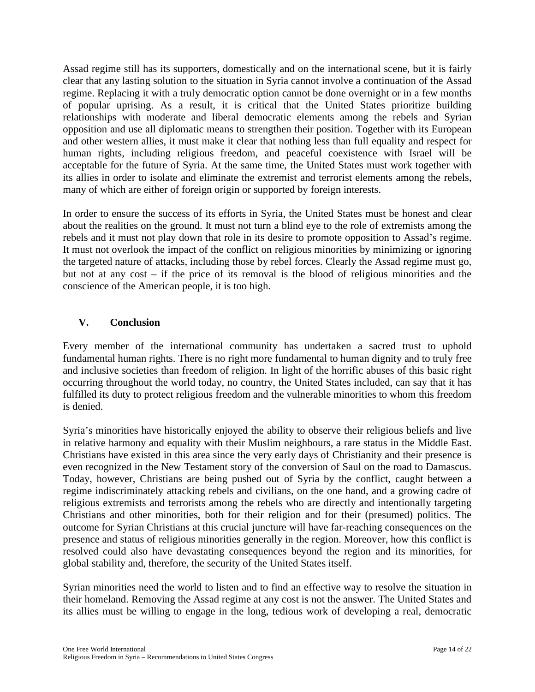Assad regime still has its supporters, domestically and on the international scene, but it is fairly clear that any lasting solution to the situation in Syria cannot involve a continuation of the Assad regime. Replacing it with a truly democratic option cannot be done overnight or in a few months of popular uprising. As a result, it is critical that the United States prioritize building relationships with moderate and liberal democratic elements among the rebels and Syrian opposition and use all diplomatic means to strengthen their position. Together with its European and other western allies, it must make it clear that nothing less than full equality and respect for human rights, including religious freedom, and peaceful coexistence with Israel will be acceptable for the future of Syria. At the same time, the United States must work together with its allies in order to isolate and eliminate the extremist and terrorist elements among the rebels, many of which are either of foreign origin or supported by foreign interests.

In order to ensure the success of its efforts in Syria, the United States must be honest and clear about the realities on the ground. It must not turn a blind eye to the role of extremists among the rebels and it must not play down that role in its desire to promote opposition to Assad's regime. It must not overlook the impact of the conflict on religious minorities by minimizing or ignoring the targeted nature of attacks, including those by rebel forces. Clearly the Assad regime must go, but not at any cost – if the price of its removal is the blood of religious minorities and the conscience of the American people, it is too high.

# **V. Conclusion**

Every member of the international community has undertaken a sacred trust to uphold fundamental human rights. There is no right more fundamental to human dignity and to truly free and inclusive societies than freedom of religion. In light of the horrific abuses of this basic right occurring throughout the world today, no country, the United States included, can say that it has fulfilled its duty to protect religious freedom and the vulnerable minorities to whom this freedom is denied.

Syria's minorities have historically enjoyed the ability to observe their religious beliefs and live in relative harmony and equality with their Muslim neighbours, a rare status in the Middle East. Christians have existed in this area since the very early days of Christianity and their presence is even recognized in the New Testament story of the conversion of Saul on the road to Damascus. Today, however, Christians are being pushed out of Syria by the conflict, caught between a regime indiscriminately attacking rebels and civilians, on the one hand, and a growing cadre of religious extremists and terrorists among the rebels who are directly and intentionally targeting Christians and other minorities, both for their religion and for their (presumed) politics. The outcome for Syrian Christians at this crucial juncture will have far-reaching consequences on the presence and status of religious minorities generally in the region. Moreover, how this conflict is resolved could also have devastating consequences beyond the region and its minorities, for global stability and, therefore, the security of the United States itself.

Syrian minorities need the world to listen and to find an effective way to resolve the situation in their homeland. Removing the Assad regime at any cost is not the answer. The United States and its allies must be willing to engage in the long, tedious work of developing a real, democratic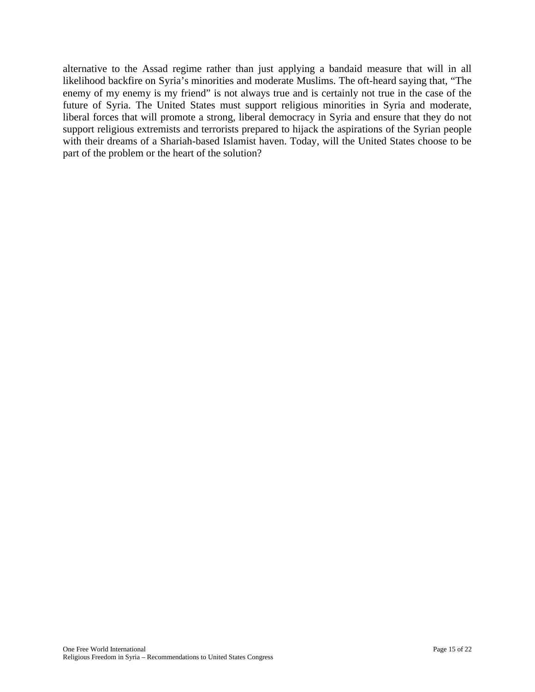alternative to the Assad regime rather than just applying a bandaid measure that will in all likelihood backfire on Syria's minorities and moderate Muslims. The oft-heard saying that, "The enemy of my enemy is my friend" is not always true and is certainly not true in the case of the future of Syria. The United States must support religious minorities in Syria and moderate, liberal forces that will promote a strong, liberal democracy in Syria and ensure that they do not support religious extremists and terrorists prepared to hijack the aspirations of the Syrian people with their dreams of a Shariah-based Islamist haven. Today, will the United States choose to be part of the problem or the heart of the solution?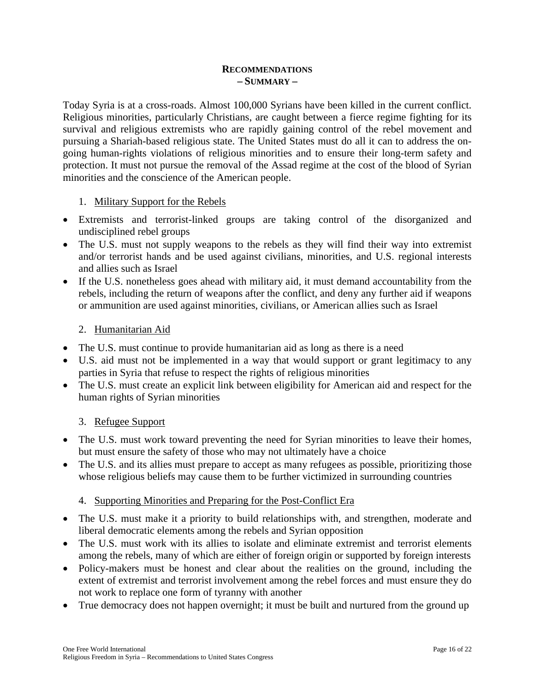### **RECOMMENDATIONS – SUMMARY –**

Today Syria is at a cross-roads. Almost 100,000 Syrians have been killed in the current conflict. Religious minorities, particularly Christians, are caught between a fierce regime fighting for its survival and religious extremists who are rapidly gaining control of the rebel movement and pursuing a Shariah-based religious state. The United States must do all it can to address the ongoing human-rights violations of religious minorities and to ensure their long-term safety and protection. It must not pursue the removal of the Assad regime at the cost of the blood of Syrian minorities and the conscience of the American people.

# 1. Military Support for the Rebels

- Extremists and terrorist-linked groups are taking control of the disorganized and undisciplined rebel groups
- The U.S. must not supply weapons to the rebels as they will find their way into extremist and/or terrorist hands and be used against civilians, minorities, and U.S. regional interests and allies such as Israel
- If the U.S. nonetheless goes ahead with military aid, it must demand accountability from the rebels, including the return of weapons after the conflict, and deny any further aid if weapons or ammunition are used against minorities, civilians, or American allies such as Israel

# 2. Humanitarian Aid

- The U.S. must continue to provide humanitarian aid as long as there is a need
- U.S. aid must not be implemented in a way that would support or grant legitimacy to any parties in Syria that refuse to respect the rights of religious minorities
- The U.S. must create an explicit link between eligibility for American aid and respect for the human rights of Syrian minorities

## 3. Refugee Support

- The U.S. must work toward preventing the need for Syrian minorities to leave their homes, but must ensure the safety of those who may not ultimately have a choice
- The U.S. and its allies must prepare to accept as many refugees as possible, prioritizing those whose religious beliefs may cause them to be further victimized in surrounding countries

## 4. Supporting Minorities and Preparing for the Post-Conflict Era

- The U.S. must make it a priority to build relationships with, and strengthen, moderate and liberal democratic elements among the rebels and Syrian opposition
- The U.S. must work with its allies to isolate and eliminate extremist and terrorist elements among the rebels, many of which are either of foreign origin or supported by foreign interests
- Policy-makers must be honest and clear about the realities on the ground, including the extent of extremist and terrorist involvement among the rebel forces and must ensure they do not work to replace one form of tyranny with another
- True democracy does not happen overnight; it must be built and nurtured from the ground up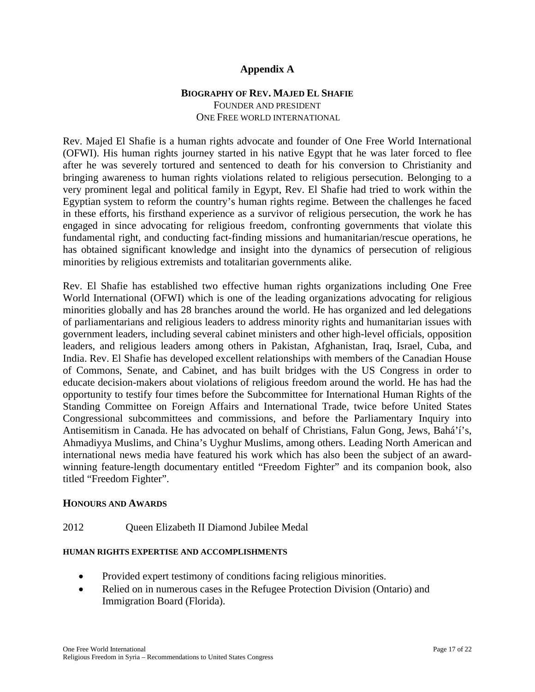## **Appendix A**

## **BIOGRAPHY OF REV. MAJED EL SHAFIE** FOUNDER AND PRESIDENT ONE FREE WORLD INTERNATIONAL

Rev. Majed El Shafie is a human rights advocate and founder of One Free World International (OFWI). His human rights journey started in his native Egypt that he was later forced to flee after he was severely tortured and sentenced to death for his conversion to Christianity and bringing awareness to human rights violations related to religious persecution. Belonging to a very prominent legal and political family in Egypt, Rev. El Shafie had tried to work within the Egyptian system to reform the country's human rights regime. Between the challenges he faced in these efforts, his firsthand experience as a survivor of religious persecution, the work he has engaged in since advocating for religious freedom, confronting governments that violate this fundamental right, and conducting fact-finding missions and humanitarian/rescue operations, he has obtained significant knowledge and insight into the dynamics of persecution of religious minorities by religious extremists and totalitarian governments alike.

Rev. El Shafie has established two effective human rights organizations including One Free World International (OFWI) which is one of the leading organizations advocating for religious minorities globally and has 28 branches around the world. He has organized and led delegations of parliamentarians and religious leaders to address minority rights and humanitarian issues with government leaders, including several cabinet ministers and other high-level officials, opposition leaders, and religious leaders among others in Pakistan, Afghanistan, Iraq, Israel, Cuba, and India. Rev. El Shafie has developed excellent relationships with members of the Canadian House of Commons, Senate, and Cabinet, and has built bridges with the US Congress in order to educate decision-makers about violations of religious freedom around the world. He has had the opportunity to testify four times before the Subcommittee for International Human Rights of the Standing Committee on Foreign Affairs and International Trade, twice before United States Congressional subcommittees and commissions, and before the Parliamentary Inquiry into Antisemitism in Canada. He has advocated on behalf of Christians, Falun Gong, Jews, Bahá'í's, Ahmadiyya Muslims, and China's Uyghur Muslims, among others. Leading North American and international news media have featured his work which has also been the subject of an awardwinning feature-length documentary entitled "Freedom Fighter" and its companion book, also titled "Freedom Fighter".

#### **HONOURS AND AWARDS**

#### 2012 Queen Elizabeth II Diamond Jubilee Medal

#### **HUMAN RIGHTS EXPERTISE AND ACCOMPLISHMENTS**

- Provided expert testimony of conditions facing religious minorities.
- Relied on in numerous cases in the Refugee Protection Division (Ontario) and Immigration Board (Florida).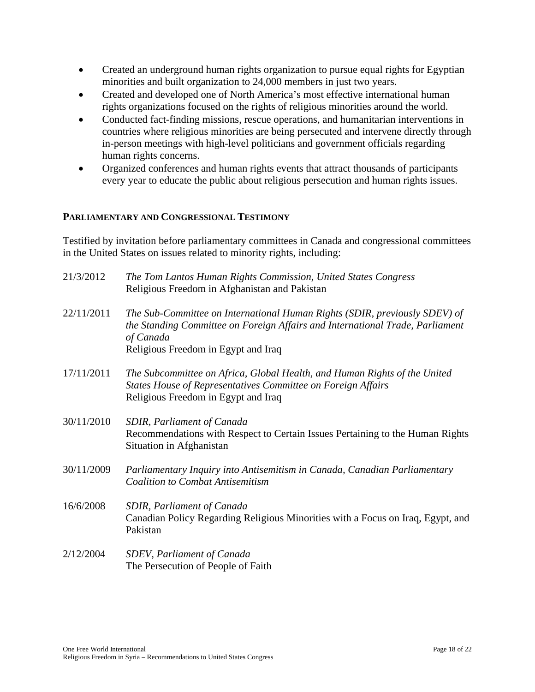- Created an underground human rights organization to pursue equal rights for Egyptian minorities and built organization to 24,000 members in just two years.
- Created and developed one of North America's most effective international human rights organizations focused on the rights of religious minorities around the world.
- Conducted fact-finding missions, rescue operations, and humanitarian interventions in countries where religious minorities are being persecuted and intervene directly through in-person meetings with high-level politicians and government officials regarding human rights concerns.
- Organized conferences and human rights events that attract thousands of participants every year to educate the public about religious persecution and human rights issues.

# **PARLIAMENTARY AND CONGRESSIONAL TESTIMONY**

Testified by invitation before parliamentary committees in Canada and congressional committees in the United States on issues related to minority rights, including:

| 21/3/2012  | The Tom Lantos Human Rights Commission, United States Congress<br>Religious Freedom in Afghanistan and Pakistan                                                                                                 |
|------------|-----------------------------------------------------------------------------------------------------------------------------------------------------------------------------------------------------------------|
| 22/11/2011 | The Sub-Committee on International Human Rights (SDIR, previously SDEV) of<br>the Standing Committee on Foreign Affairs and International Trade, Parliament<br>of Canada<br>Religious Freedom in Egypt and Iraq |
| 17/11/2011 | The Subcommittee on Africa, Global Health, and Human Rights of the United<br>States House of Representatives Committee on Foreign Affairs<br>Religious Freedom in Egypt and Iraq                                |
| 30/11/2010 | <b>SDIR, Parliament of Canada</b><br>Recommendations with Respect to Certain Issues Pertaining to the Human Rights<br>Situation in Afghanistan                                                                  |
| 30/11/2009 | Parliamentary Inquiry into Antisemitism in Canada, Canadian Parliamentary<br><b>Coalition to Combat Antisemitism</b>                                                                                            |
| 16/6/2008  | SDIR, Parliament of Canada<br>Canadian Policy Regarding Religious Minorities with a Focus on Iraq, Egypt, and<br>Pakistan                                                                                       |
| 2/12/2004  | SDEV, Parliament of Canada<br>The Persecution of People of Faith                                                                                                                                                |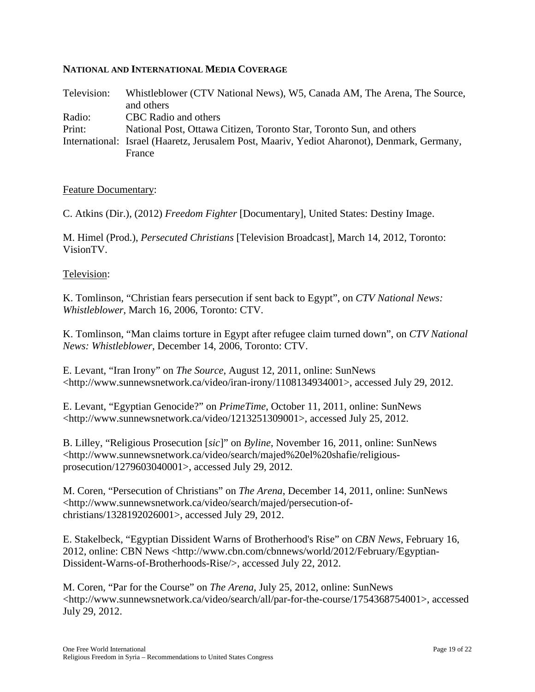## **NATIONAL AND INTERNATIONAL MEDIA COVERAGE**

| Television: | Whistleblower (CTV National News), W5, Canada AM, The Arena, The Source,                    |
|-------------|---------------------------------------------------------------------------------------------|
|             | and others                                                                                  |
| Radio:      | CBC Radio and others                                                                        |
| Print:      | National Post, Ottawa Citizen, Toronto Star, Toronto Sun, and others                        |
|             | International: Israel (Haaretz, Jerusalem Post, Maariv, Yediot Aharonot), Denmark, Germany, |
|             | France                                                                                      |

#### Feature Documentary:

C. Atkins (Dir.), (2012) *Freedom Fighter* [Documentary], United States: Destiny Image.

M. Himel (Prod.), *Persecuted Christians* [Television Broadcast], March 14, 2012, Toronto: VisionTV.

#### Television:

K. Tomlinson, "Christian fears persecution if sent back to Egypt", on *CTV National News: Whistleblower*, March 16, 2006, Toronto: CTV.

K. Tomlinson, "Man claims torture in Egypt after refugee claim turned down", on *CTV National News: Whistleblower*, December 14, 2006, Toronto: CTV.

E. Levant, "Iran Irony" on *The Source*, August 12, 2011, online: SunNews <http://www.sunnewsnetwork.ca/video/iran-irony/1108134934001>, accessed July 29, 2012.

E. Levant, "Egyptian Genocide?" on *PrimeTime*, October 11, 2011, online: SunNews <http://www.sunnewsnetwork.ca/video/1213251309001>, accessed July 25, 2012.

B. Lilley, "Religious Prosecution [*sic*]" on *Byline*, November 16, 2011, online: SunNews <http://www.sunnewsnetwork.ca/video/search/majed%20el%20shafie/religiousprosecution/1279603040001>, accessed July 29, 2012.

M. Coren, "Persecution of Christians" on *The Arena*, December 14, 2011, online: SunNews <http://www.sunnewsnetwork.ca/video/search/majed/persecution-ofchristians/1328192026001>, accessed July 29, 2012.

E. Stakelbeck, "Egyptian Dissident Warns of Brotherhood's Rise" on *CBN News*, February 16, 2012, online: CBN News <http://www.cbn.com/cbnnews/world/2012/February/Egyptian-Dissident-Warns-of-Brotherhoods-Rise/>, accessed July 22, 2012.

M. Coren, "Par for the Course" on *The Arena*, July 25, 2012, online: SunNews <http://www.sunnewsnetwork.ca/video/search/all/par-for-the-course/1754368754001>, accessed July 29, 2012.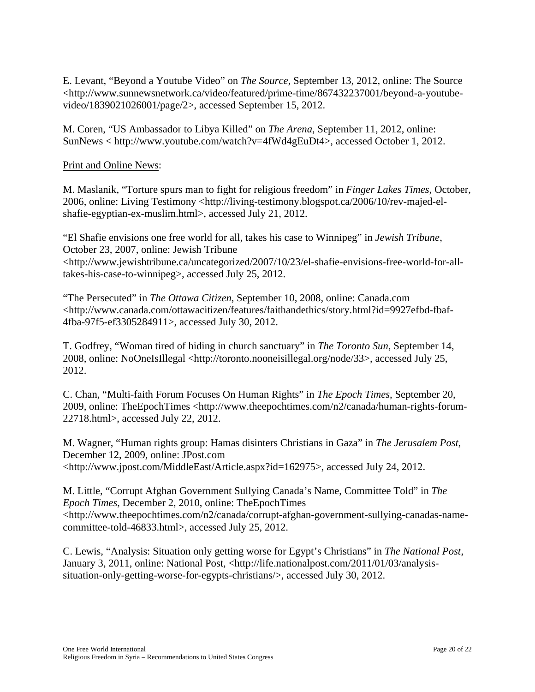E. Levant, "Beyond a Youtube Video" on *The Source*, September 13, 2012, online: The Source <http://www.sunnewsnetwork.ca/video/featured/prime-time/867432237001/beyond-a-youtubevideo/1839021026001/page/2>, accessed September 15, 2012.

M. Coren, "US Ambassador to Libya Killed" on *The Arena*, September 11, 2012, online: SunNews < http://www.youtube.com/watch?v=4fWd4gEuDt4>, accessed October 1, 2012.

Print and Online News:

M. Maslanik, "Torture spurs man to fight for religious freedom" in *Finger Lakes Times*, October, 2006, online: Living Testimony <http://living-testimony.blogspot.ca/2006/10/rev-majed-elshafie-egyptian-ex-muslim.html>, accessed July 21, 2012.

"El Shafie envisions one free world for all, takes his case to Winnipeg" in *Jewish Tribune*, October 23, 2007, online: Jewish Tribune <http://www.jewishtribune.ca/uncategorized/2007/10/23/el-shafie-envisions-free-world-for-alltakes-his-case-to-winnipeg>, accessed July 25, 2012.

"The Persecuted" in *The Ottawa Citizen*, September 10, 2008, online: Canada.com <http://www.canada.com/ottawacitizen/features/faithandethics/story.html?id=9927efbd-fbaf-4fba-97f5-ef3305284911>, accessed July 30, 2012.

T. Godfrey, "Woman tired of hiding in church sanctuary" in *The Toronto Sun*, September 14, 2008, online: NoOneIsIllegal <http://toronto.nooneisillegal.org/node/33>, accessed July 25, 2012.

C. Chan, "Multi-faith Forum Focuses On Human Rights" in *The Epoch Times*, September 20, 2009, online: TheEpochTimes <http://www.theepochtimes.com/n2/canada/human-rights-forum-22718.html>, accessed July 22, 2012.

M. Wagner, "Human rights group: Hamas disinters Christians in Gaza" in *The Jerusalem Post*, December 12, 2009, online: JPost.com <http://www.jpost.com/MiddleEast/Article.aspx?id=162975>, accessed July 24, 2012.

M. Little, "Corrupt Afghan Government Sullying Canada's Name, Committee Told" in *The Epoch Times*, December 2, 2010, online: TheEpochTimes <http://www.theepochtimes.com/n2/canada/corrupt-afghan-government-sullying-canadas-namecommittee-told-46833.html>, accessed July 25, 2012.

C. Lewis, "Analysis: Situation only getting worse for Egypt's Christians" in *The National Post*, January 3, 2011, online: National Post, <http://life.nationalpost.com/2011/01/03/analysissituation-only-getting-worse-for-egypts-christians/>, accessed July 30, 2012.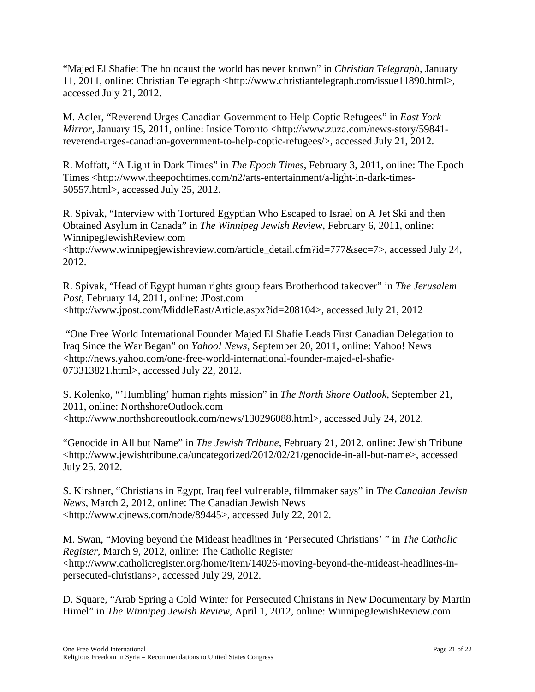"Majed El Shafie: The holocaust the world has never known" in *Christian Telegraph*, January 11, 2011, online: Christian Telegraph <http://www.christiantelegraph.com/issue11890.html>, accessed July 21, 2012.

M. Adler, "Reverend Urges Canadian Government to Help Coptic Refugees" in *East York Mirror*, January 15, 2011, online: Inside Toronto <http://www.zuza.com/news-story/59841reverend-urges-canadian-government-to-help-coptic-refugees/>, accessed July 21, 2012.

R. Moffatt, "A Light in Dark Times" in *The Epoch Times*, February 3, 2011, online: The Epoch Times <http://www.theepochtimes.com/n2/arts-entertainment/a-light-in-dark-times-50557.html>, accessed July 25, 2012.

R. Spivak, "Interview with Tortured Egyptian Who Escaped to Israel on A Jet Ski and then Obtained Asylum in Canada" in *The Winnipeg Jewish Review*, February 6, 2011, online: WinnipegJewishReview.com

<http://www.winnipegjewishreview.com/article\_detail.cfm?id=777&sec=7>, accessed July 24, 2012.

R. Spivak, "Head of Egypt human rights group fears Brotherhood takeover" in *The Jerusalem Post*, February 14, 2011, online: JPost.com <http://www.jpost.com/MiddleEast/Article.aspx?id=208104>, accessed July 21, 2012

"One Free World International Founder Majed El Shafie Leads First Canadian Delegation to Iraq Since the War Began" on *Yahoo! News*, September 20, 2011, online: Yahoo! News <http://news.yahoo.com/one-free-world-international-founder-majed-el-shafie-073313821.html>, accessed July 22, 2012.

S. Kolenko, "'Humbling' human rights mission" in *The North Shore Outlook*, September 21, 2011, online: NorthshoreOutlook.com <http://www.northshoreoutlook.com/news/130296088.html>, accessed July 24, 2012.

"Genocide in All but Name" in *The Jewish Tribune*, February 21, 2012, online: Jewish Tribune <http://www.jewishtribune.ca/uncategorized/2012/02/21/genocide-in-all-but-name>, accessed July 25, 2012.

S. Kirshner, "Christians in Egypt, Iraq feel vulnerable, filmmaker says" in *The Canadian Jewish News*, March 2, 2012, online: The Canadian Jewish News <http://www.cjnews.com/node/89445>, accessed July 22, 2012.

M. Swan, "Moving beyond the Mideast headlines in 'Persecuted Christians' " in *The Catholic Register*, March 9, 2012, online: The Catholic Register <http://www.catholicregister.org/home/item/14026-moving-beyond-the-mideast-headlines-inpersecuted-christians>, accessed July 29, 2012.

D. Square, "Arab Spring a Cold Winter for Persecuted Christans in New Documentary by Martin Himel" in *The Winnipeg Jewish Review*, April 1, 2012, online: WinnipegJewishReview.com